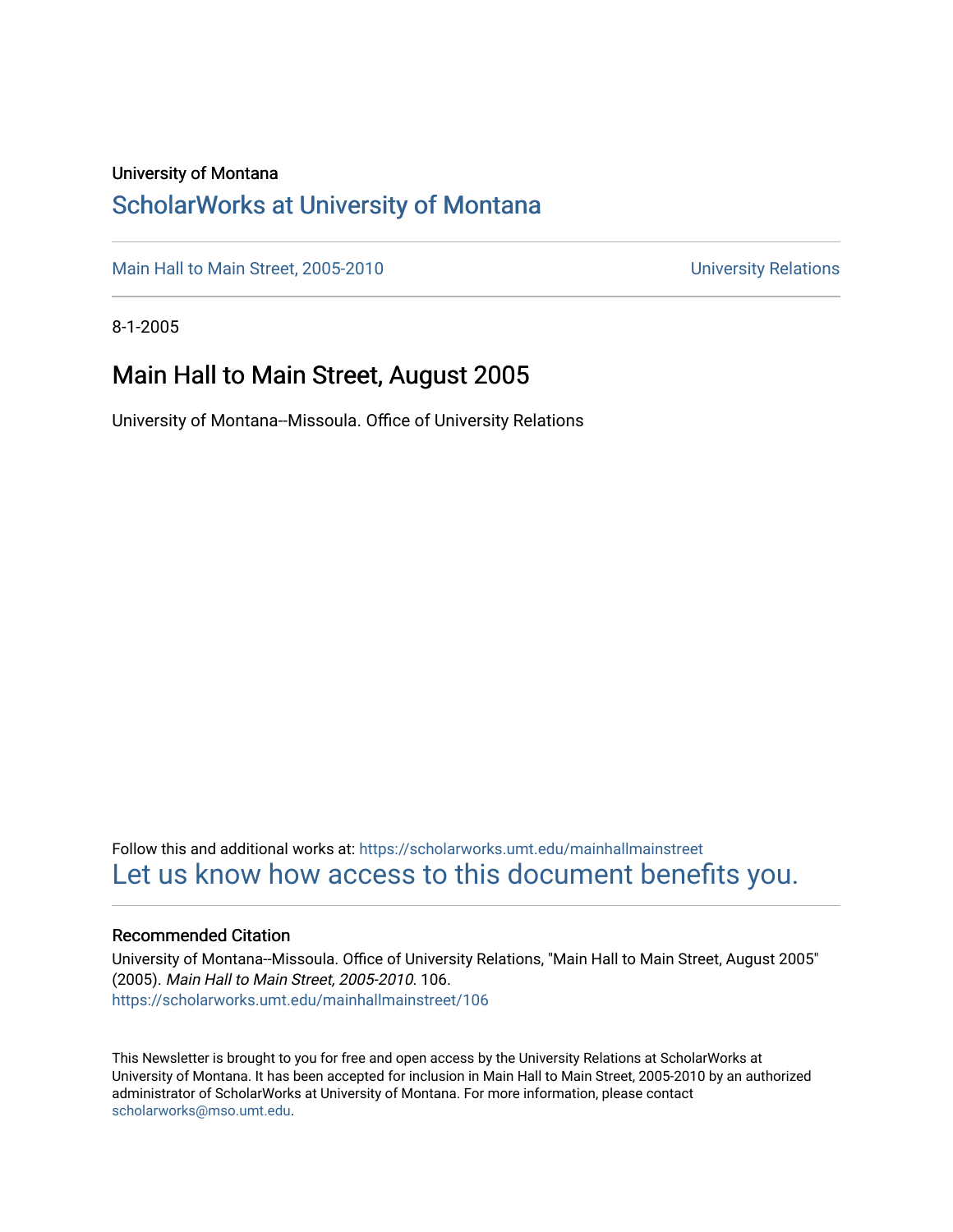### University of Montana

### [ScholarWorks at University of Montana](https://scholarworks.umt.edu/)

[Main Hall to Main Street, 2005-2010](https://scholarworks.umt.edu/mainhallmainstreet) Main Hall to Main Street, 2005-2010

8-1-2005

### Main Hall to Main Street, August 2005

University of Montana--Missoula. Office of University Relations

Follow this and additional works at: [https://scholarworks.umt.edu/mainhallmainstreet](https://scholarworks.umt.edu/mainhallmainstreet?utm_source=scholarworks.umt.edu%2Fmainhallmainstreet%2F106&utm_medium=PDF&utm_campaign=PDFCoverPages) [Let us know how access to this document benefits you.](https://goo.gl/forms/s2rGfXOLzz71qgsB2) 

#### Recommended Citation

University of Montana--Missoula. Office of University Relations, "Main Hall to Main Street, August 2005" (2005). Main Hall to Main Street, 2005-2010. 106. [https://scholarworks.umt.edu/mainhallmainstreet/106](https://scholarworks.umt.edu/mainhallmainstreet/106?utm_source=scholarworks.umt.edu%2Fmainhallmainstreet%2F106&utm_medium=PDF&utm_campaign=PDFCoverPages)

This Newsletter is brought to you for free and open access by the University Relations at ScholarWorks at University of Montana. It has been accepted for inclusion in Main Hall to Main Street, 2005-2010 by an authorized administrator of ScholarWorks at University of Montana. For more information, please contact [scholarworks@mso.umt.edu.](mailto:scholarworks@mso.umt.edu)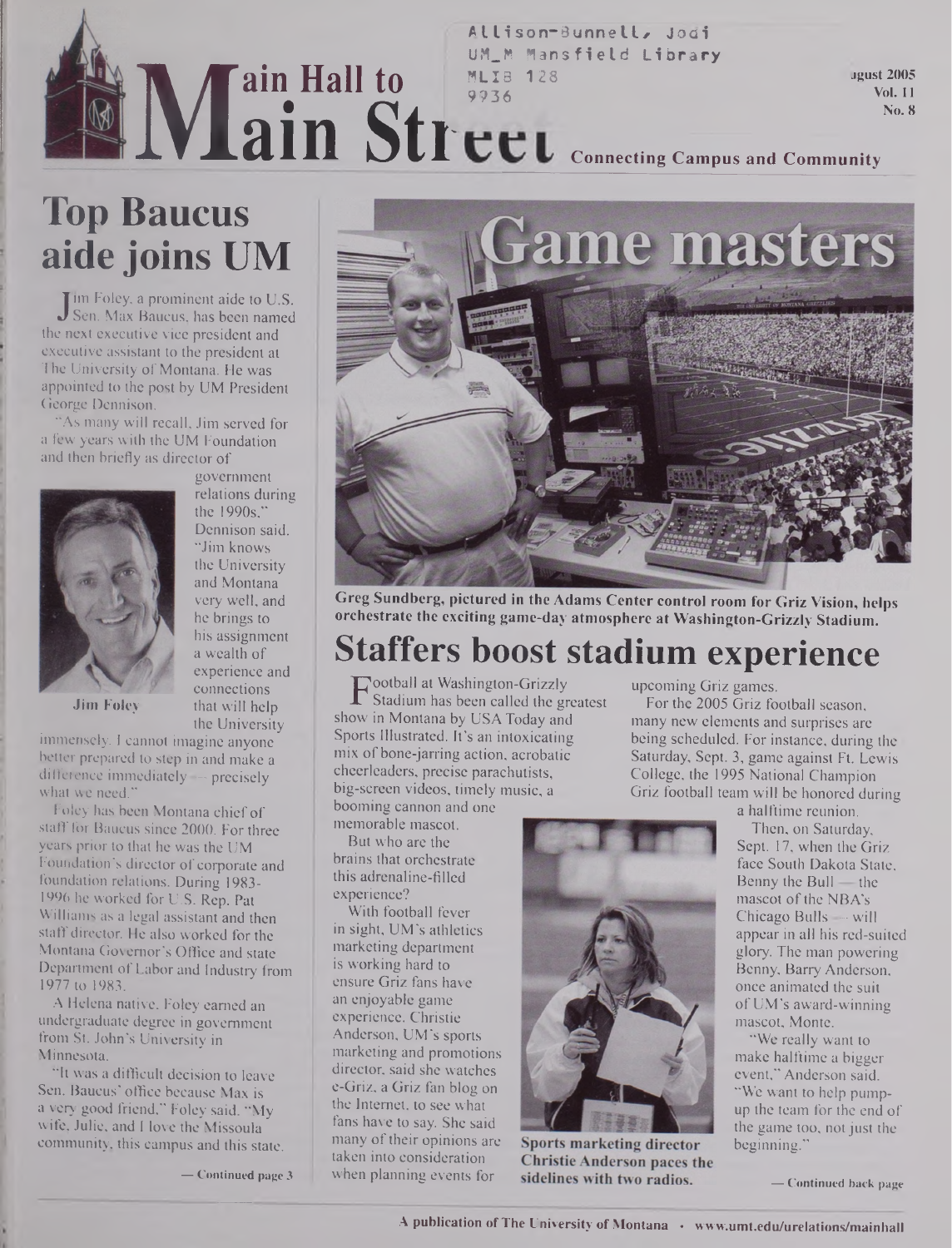## **ME ain Hall to ain Str MLIS 128 9936**

**Allison~3unnellz Jodi UM\_M Mansfield Library**

**jgust 2005 Vo). 11 No. 8**

### **Connecting Campus and Community**

# **Top Baucus aide joins UM**

 $\int \frac{m}{\pi} \cos \theta \, d\theta$  Sen. Max Baucus, has been named<br>a next executive vice president and I'm Foley, a prominent aide to U.S. the next executive vice president and executive assistant to the president at The University of Montana. He was appointed to the post by UM President George Dennison.

"As many will recall, Jim served for a few years with the UM Foundation and then briefly as director of



government relations during the 1990s," Dennison said. "Jim knows the University and Montana very well, and he brings to his assignment a wealth of experience and connections **Jim Foley** that will help the University

immensely. <sup>1</sup> cannot imagine anyone better prepared to step in and make a difference immediately — precisely what we need."

Foley has been Montana chief of staff for Baucus since 2000. For three years prior to that he was the UM Foundation's director of corporate and foundation relations. During 1983- 1996 he worked for U.S. Rep. Pat Williams as a legal assistant and then staff director. He also worked for the Montana Governor's Office and state Department of Labor and Industry from 1977 to 1983.

A Helena native, Foley earned an undergraduate degree in government from St. John's University in Minnesota.

"It was a difficult decision to leave Sen. Baucus' office because Max is a very good friend," Foley said. "My wife, Julie, and I love the Missoula community, this campus and this state.

**—- Continued page <sup>3</sup>**



**Greg Sundberg, pictured in the Adams Center control room for Griz Vision, helps orchestrate the exciting game-day atmosphere at Washington-Grizzly Stadium.**

# **Staffers boost stadium experience**

**F** Stadium has been called the greatest<br>ow in Montana by USA Today and ootball at Washington-Grizzly Stadium has been called the greatest Sports Illustrated. It's an intoxicating mix of bone-jarring action, acrobatic cheerleaders, precise parachutists, big-screen videos, timely music, a

booming cannon and one memorable mascot. But who are the brains that orchestrate this adrenaline-filled experience?

With football fever in sight, UM's athletics marketing department is working hard to ensure Griz fans have an enjoyable game experience. Christie Anderson, UM's sports marketing and promotions director, said she watches e-Griz, a Griz fan blog on the Internet, to see what fans have to say. She said many of their opinions are taken into consideration when planning events for

upcoming Griz games.

For the 2005 Griz football season, many new elements and surprises are being scheduled. For instance, during the Saturday, Sept. 3, game against Ft. Lewis College, the 1995 National Champion Griz football team will be honored during a halftime reunion.

Sports marketing director **Christie Anderson paces the** sidelines with two radios.

Then, on Saturday, Sept. 17, when the Griz face South Dakota State, Benny the Bull — the

mascot of the NBA's Chicago Bulls — will appear in all his red-suited glory. The man powering Benny, Barry Anderson, once animated the suit ofUM's award-winning mascot, Monte.

"We really want to make halftime a bigger event," Anderson said. "We want to help pumpup the team for the end of the game too, not just the beginning."

**— Continued back page**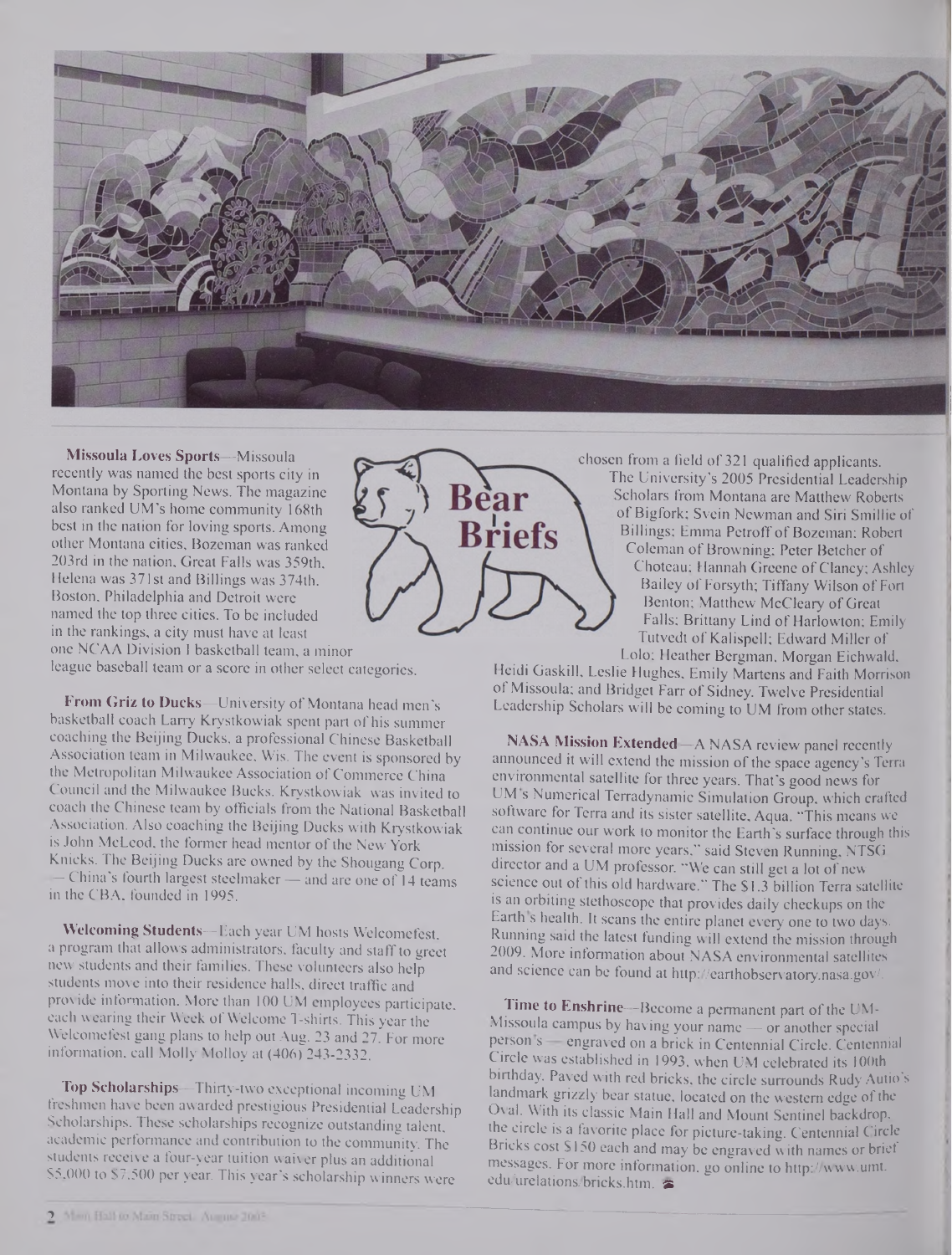

**Missoula Loves Sports—**Missoula recently was named the best sports city in Montana by Sporting News. The magazine also ranked UM's home community 168th best in the nation for loving sports. Among other Montana cities, Bozeman was ranked 203rd in the nation, Great Falls was 359th, Helena was 371st and Billings was 374th. Boston, Philadelphia and Detroit were named the top three cities. To be included in the rankings, a city must have at least one NCAA Division I basketball team, a minor league baseball team or a score in other select categories.

**B**riefs

chosen from a field of 321 qualified applicants. The University's 2005 Presidential Leadership Scholars from Montana are Matthew Roberts of Bigfork; Svein Newman and Siri Smillie of Billings; Emma Petroff of Bozeman; Robert Coleman of Browning; Peter Betcher of Choteau; Hannah Greene of Clancy; Ashley Bailey of Forsyth; Tiffany Wilson of Fort Benton; Matthew McCleary of Great Falls; Brittany Lind of Harlowton; Emily Tutvedt of Kalispell; Edward Miller of Lolo; Heather Bergman, Morgan Eichwald,

Heidi Gaskill, Leslie Hughes, Emily Martens and Faith Morrison of Missoula; and Bridget Farr of Sidney. Twelve Presidential Leadership Scholars will be coming to UM from other states.

**NASA Mission Extended—**A NASA review panel recently announced it will extend the mission of the space agency's Terra environmental satellite for three years. That's good news for UM s Numerical Terradynamic Simulation Group, which crafted software for Terra and its sister satellite, Aqua. "This means we can continue our work to monitor the Earth's surface through this mission for several more years," said Steven Running, NTSG director and a UM professor. "We can still get a lot of new science out of this old hardware." The \$1.3 billion Terra satellite is an orbiting stethoscope that provides daily checkups on the Earth s health. It scans the entire planet every one to two days. Running said the latest funding will extend the mission through 2009. More information about NASA environmental satellites and science can be found at <http://earthobservatory.nasa.gov/>.

**Time to Enshrine—**Become a permanent part of the UM-Missoula campus by having your name — or another special person s - engraved on a brick in Centennial Circle. Centennial Circle was established in 1993, when UM celebrated its 100th birthday. Paved with red bricks, the circle surrounds Rudy Autio's landmark grizzly bear statue, located on the western edge of the Oval. With its classic Main Hall and Mount Sentinel backdrop, the circle is a favorite place for picture-taking. Centennial Circle Bricks cost S150 each and may be engraved with names or brief messages. For more information, go online to <http://www.umt>. **edu/urelations/bricks.htm. is**

**From Griz to Ducks—University of Montana head men's** basketball coach Larry Krystkowiak spent part of his summer coaching the Beijing Ducks, a professional Chinese Basketball Association team in Milwaukee, Wis. The event is sponsored by the Metropolitan Milwaukee Association of Commerce China Council and the Milwaukee Bucks. Krystkowiak was invited to coach the Chinese team by officials from the National Basketball Association. Also coaching the Beijing Ducks with Krystkowiak is John McLeod, the former head mentor of the New York Knicks. The Beijing Ducks are owned by the Shougang Corp. — China's fourth largest steelmaker— and are one of 14 teams in the CBA, founded in 1995.

**Welcoming Students—**Each year UM hosts Welcomefest, a program that allows administrators, faculty and staff to greet new students and their families. These volunteers also help students move into their residence halls, direct traffic and provide information. More than 100 UM employees participate, each wearing their Week of Welcome T-shirts. This year the Welcomefest gang plans to help out Aug. 23 and 27. For more information, call Molly Molloy at (406) 243-2332.

**Top Scholarships—**Thirty-two exceptional incoming UM freshmen have been awarded prestigious Presidential Leadership Scholarships. These scholarships recognize outstanding talent, academic performance and contribution to the community. The students receive a four-year tuition waiver plus an additional \$5,000 to S7.5OO per year. This year's scholarship winners were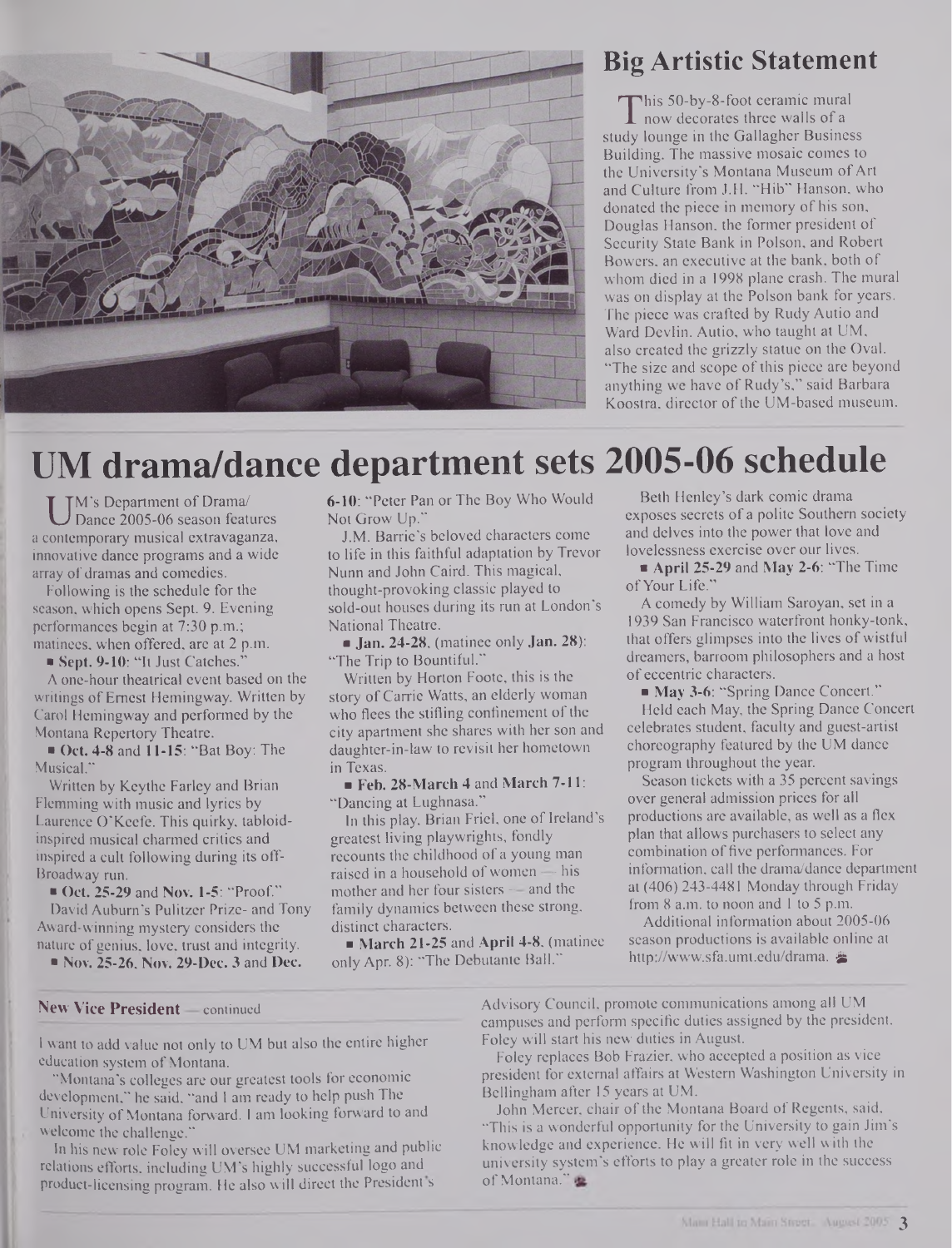

## **Big Artistic Statement**

This 50-by-8-foot ceramic mural<br>about the Walls of a<br>ady lounge in the Gallagher Business his 50-by-8-foot ceramic mural now decorates three walls of a Building. The massive mosaic comes to the University's Montana Museum of Art and Culture from J.H. "Hib" Hanson, who donated the piece in memory of his son, Douglas Hanson, the former president of Security State Bank in Polson, and Robert Bowers, an executive at the bank, both of whom died in a 1998 plane crash. The mural was on display at the Polson bank for years. The piece was crafted by Rudy Autio and Ward Devlin. Autio, who taught at UM, also created the grizzly statue on the Oval. "The size and scope of this piece are beyond anything we have of Rudy's," said Barbara Koostra, director of the UM-based museum.

# **UM drama/dance department sets 2005-06 schedule**

U M S Department of Drama<br>Dance 2005-06 season features<br>a contemporary musical extravaganza, M's Department of Drama/ Dance 2005-06 season features innovative dance programs and a wide array of dramas and comedies.

Following is the schedule for the season, which opens Sept. 9. Evening performances begin at 7:30 p.m.; matinees, when offered, are at 2 p.m.

Sept. 9-10: "It Just Catches."

A one-hour theatrical event based on the writings of Ernest Hemingway. Written by Carol Hemingway and performed by the Montana Repertory Theatre.

Oct. 4-8 and 11-15: "Bat Boy: The Musical.<sup>\*</sup>

Written by Keythe Farley and Brian Flemming with music and lyrics by Laurence O'Keefe. This quirky, tabloidinspired musical charmed critics and inspired a cult following during its off-Broadway run.

■ Oct. 25-29 and Nov. 1-5: "Proof." David Auburn's Pulitzer Prize- and Tony Award-winning mystery considers the nature of genius, love, trust and integrity.

**Nov. 25-26, Nov. 29-Dec. 3 and Dec.** 

6-10: "Peter Pan or The Boy Who Would Not Grow Up."

J.M. Barrie's beloved characters come to life in this faithful adaptation by Trevor Nunn and John Caird. This magical, thought-provoking classic played to sold-out houses during its run at London's National Theatre.

 $\blacksquare$  Jan. 24-28, (matinee only Jan. 28): "The Trip to Bountiful."

Written by Horton Foote, this is the story of Carrie Watts, an elderly woman who flees the stifling confinement of the city apartment she shares with her son and daughter-in-law to revisit her hometown in Texas.

Feb. 28-March 4 and March 7-11: "Dancing at Lughnasa."

In this play, Brian Friel, one of Ireland's greatest living playwrights, fondly recounts the childhood of a young man raised in a household of women  $-$  his mother and her four sisters — and the family dynamics between these strong, distinct characters.

 $\blacksquare$  March 21-25 and April 4-8, (matinee only Apr. 8): "The Debutante Ball."

Beth Henley's dark comic drama exposes secrets of a polite Southern society and delves into the power that love and lovelessness exercise over our lives.

April 25-29 and May 2-6: "The Time" ofYour Life."

A comedy by William Saroyan, set in a 1939 San Francisco waterfront honky-tonk, that offers glimpses into the lives of wistful dreamers, barroom philosophers and a host of eccentric characters.

May 3-6: "Spring Dance Concert."

Held each May, the Spring Dance Concert celebrates student, faculty and guest-artist choreography featured by the UM dance program throughout the year.

Season tickets with a 35 percent savings over general admission prices for all productions are available, as well as a flex plan that allows purchasers to select any combination of five performances. For information, call the drama/dance department at (406) 243-4481 Monday through Friday from 8 a.m. to noon and <sup>1</sup> to 5 p.m.

Additional information about 2005-06 season productions is available online at <http://www.sfa.umt.edu/drama>. &

#### **New Vice President —** continued

I want to add value not only to UM but also the entire higher education system of Montana.

"Montana's colleges are our greatest tools for economic development," he said, "and I am ready to help push The University of Montana forward. I am looking forward to and welcome the challenge."

In his new role Foley will oversee UM marketing and public relations efforts, including UM's highly successful logo and product-licensing program. He also will direct the President s

Advisory Council, promote communications among all UM campuses and perform specific duties assigned by the president. Foley will start his new duties in August.

Foley replaces Bob Frazier, who accepted a position as vice president for external affairs at Western Washington University in Bellingham after 15 years at UM.

John Mercer, chair of the Montana Board of Regents, said, "This is a wonderful opportunity for the University to gain Jim's knowledge and experience. He will fit in very well with the university system's efforts to play a greater role in the success of Montana."